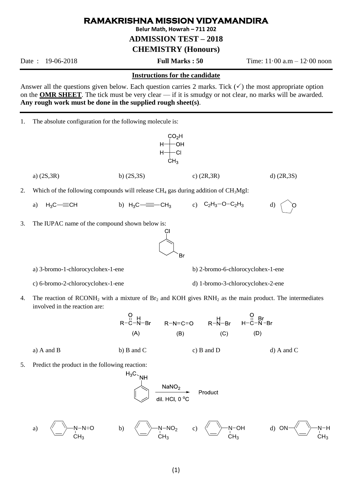## **RAMAKRISHNA MISSION VIDYAMANDIRA**

**Belur Math, Howrah – 711 202**

**ADMISSION TEST – 2018**

**CHEMISTRY (Honours)**

Date : 19-06-2018 **Full Marks : 50** Time: 11·00 a.m – 12·00 noon

## **Instructions for the candidate**

Answer all the questions given below. Each question carries 2 marks. Tick  $(\checkmark)$  the most appropriate option on the **OMR SHEET**. The tick must be very clear — if it is smudgy or not clear, no marks will be awarded. **Any rough work must be done in the supplied rough sheet(s)**.

1. The absolute configuration for the following molecule is:



5. Predict the product in the following reaction:

$$
\begin{array}{c}\n\mathsf{H}_{3}\mathsf{C}_{\searrow}\mathsf{NH} \\
\hline\n\text{NaNO}_{2}\n\end{array}\n\quad\n\begin{array}{c}\n\text{NaNO}_{2} \\
\text{dil.}\n\text{HCl, } 0^{\circ}\text{C}\n\end{array}\n\quad\n\begin{array}{c}\n\text{Product} \\
\end{array}
$$

a) 
$$
\overline{N-N=0}
$$
 b)  $\overline{N-N=0}$  c)  $\overline{N-N=0H}$  d)  $ON=\overline{N-M=0H}$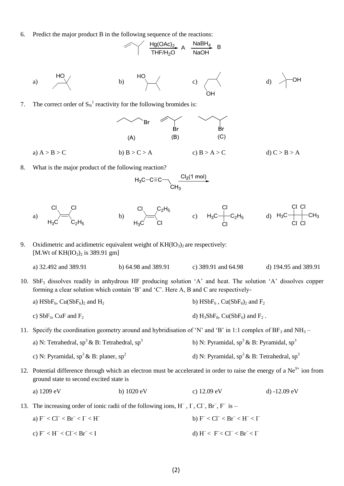6. Predict the major product B in the following sequence of the reactions:

$$
\begin{array}{c|c}\n\hline\n\end{array}\n\quad\n\begin{array}{c}\n\text{Hg(OAc)}_{2}\text{A} & \text{NaBH}_{4} \\
\hline\n\text{THF/H}_{2}\text{O}\n\end{array}\n\begin{array}{c}\n\text{NaBH}_{4} & \text{B} \\
\hline\n\end{array}
$$

a) 
$$
\overrightarrow{HO}
$$
 b)  $\overrightarrow{HO}$  c)  $\overrightarrow{CH}$  d)  $\overrightarrow{OH}$ 

7. The correct order of  $S_N^{-1}$  reactivity for the following bromides is:



8. What is the major product of the following reaction?

$$
H_3C-C\equiv C\leftarrow\leftarrow\frac{Cl_2(1 \text{ mol})}{CH_3}
$$



- 9. Oxidimetric and acidimetric equivalent weight of  $KH(IO<sub>3</sub>)<sub>2</sub>$  are respectively: [M.Wt of  $KH(IO<sub>3</sub>)<sub>2</sub>$  is 389.91 gm]
	- a) 32.492 and 389.91 b) 64.98 and 389.91 c) 389.91 and 64.98 d) 194.95 and 389.91
- 10. SbF<sup>5</sup> dissolves readily in anhydrous HF producing solution 'A' and heat. The solution 'A' dissolves copper forming a clear solution which contain 'B' and 'C'. Here A, B and C are respectively
	- a)  $HSBF_6$ ,  $Cu(SbF_6)_2$  and  $H_2$  b)  $HSBF_6$ ,  $Cu(SbF_6)_2$  and  $F_2$ c)  $SbF_3$ ,  $CuF$  and  $F_2$  d)  $H_3SbF_8$ ,  $Cu(SbF_6)$  and  $F_2$ .
- 11. Specify the coordination geometry around and hybridisation of 'N' and 'B' in 1:1 complex of  $BF_3$  and NH<sub>3</sub> a) N: Tetrahedral,  $sp^3 \& B$ : Tetrahedral,  $sp^3$ b) N: Pyramidal,  $sp^3 \& B$ : Pyramidal,  $sp^3$ c) N: Pyramidal,  $sp^3 \& B$ : planer,  $sp^2$ d) N: Pyramidal,  $sp^3 \& B$ : Tetrahedral,  $sp^3$
- 12. Potential difference through which an electron must be accelerated in order to raise the energy of a  $Ne<sup>9+</sup>$  ion from ground state to second excited state is

a) 
$$
1209 \text{ eV}
$$
 b)  $1020 \text{ eV}$  c)  $12.09 \text{ eV}$  d)  $-12.09 \text{ eV}$ 

- 13. The increasing order of ionic radii of the following ions,  $H^-$ ,  $\Gamma$ ,  $Cl^-$ ,  $Br^-$ ,  $F^-$  is
	- a)  $F < CI^{-} < Br^{-} < I < H^{-}$ b)  $F^{-} < CI^{-} < Br^{-} < H^{-} < \Gamma$ c)  $F^{-} < H^{-} < Cl^{-} < Br^{-}$  $<$  I d) H  $<$  F  $<$  Cl  $>$  Br  $<$  I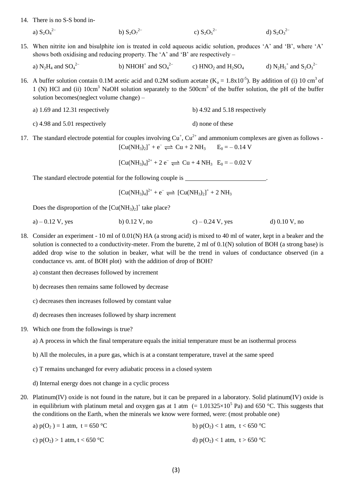14. There is no S-S bond in-

a)  $S_2O_4^{2-}$ b)  $S_2O_7^{2-}$ c)  $S_2O_5^{2-}$  $d)$  S<sub>2</sub>O<sub>3</sub><sup>2-</sup>

15. When nitrite ion and bisulphite ion is treated in cold aqueous acidic solution, produces 'A' and 'B', where 'A' shows both oxidising and reducing property. The 'A' and 'B' are respectively –

a)  $N_2H_4$  and  $SO_4^2$ <sup>-</sup> b) NHOH<sup>+</sup> and  $SO_4^2$  c) HNO<sub>2</sub> and H<sub>2</sub>SO<sub>4</sub> d) N<sub>2</sub>H<sub>5</sub><sup>+</sup> and S<sub>2</sub>O<sub>3</sub><sup>2</sup>

16. A buffer solution contain 0.1M acetic acid and 0.2M sodium acetate  $(K_a = 1.8 \times 10^{-5})$ . By addition of (i) 10 cm<sup>3</sup> of 1 (N) HCl and (ii)  $10 \text{cm}^3$  NaOH solution separately to the 500 $\text{cm}^3$  of the buffer solution, the pH of the buffer solution becomes(neglect volume change) –

| a) 1.69 and 12.31 respectively | b) 4.92 and $5.18$ respectively |
|--------------------------------|---------------------------------|
|                                |                                 |

- c)  $4.98$  and  $5.01$  respectively d) none of these
- 17. The standard electrode potential for couples involving  $Cu<sup>+</sup>$ ,  $Cu<sup>2+</sup>$  and ammonium complexes are given as follows - $[Cu(NH<sub>3</sub>)<sub>2</sub>]<sup>+</sup> + e^- \rightleftharpoons Cu + 2 NH<sub>3</sub>$   $E_0 = -0.14 V$

 $[Cu(NH<sub>3</sub>)<sub>4</sub>]<sup>2+</sup> + 2 e^- \rightleftharpoons Cu + 4 NH<sub>3</sub> E<sub>0</sub> = -0.02 V$ 

The standard electrode potential for the following couple is \_\_\_\_\_\_\_\_\_\_\_\_\_\_\_\_\_\_\_\_

$$
[Cu(NH_3)_4]^{2+} + e^- \rightleftharpoons [Cu(NH_3)_2]^+ + 2 NH_3
$$

Does the disproportion of the  $[Cu(NH<sub>3</sub>)<sub>2</sub>]<sup>+</sup>$  take place?

- a) 0.12 V, yes b) 0.12 V, no c) 0.24 V, yes d) 0.10 V, no
- 18. Consider an experiment 10 ml of 0.01(N) HA (a strong acid) is mixed to 40 ml of water, kept in a beaker and the solution is connected to a conductivity-meter. From the burette, 2 ml of 0.1(N) solution of BOH (a strong base) is added drop wise to the solution in beaker, what will be the trend in values of conductance observed (in a conductance vs. amt. of BOH plot) with the addition of drop of BOH?
	- a) constant then decreases followed by increment
	- b) decreases then remains same followed by decrease
	- c) decreases then increases followed by constant value
	- d) decreases then increases followed by sharp increment
- 19. Which one from the followings is true?

a) A process in which the final temperature equals the initial temperature must be an isothermal process

- b) All the molecules, in a pure gas, which is at a constant temperature, travel at the same speed
- c) T remains unchanged for every adiabatic process in a closed system
- d) Internal energy does not change in a cyclic process
- 20. Platinum(IV) oxide is not found in the nature, but it can be prepared in a laboratory. Solid platinum(IV) oxide is in equilibrium with platinum metal and oxygen gas at 1 atm  $(= 1.01325 \times 10^5 \text{ Pa})$  and 650 °C. This suggests that the conditions on the Earth, when the minerals we know were formed, were: (most probable one)
	- a)  $p(O_2) = 1$  atm, t = 650 °C b)  $p(O_2) < 1$  atm, t < 650 °C c)  $p(O_2) > 1$  atm,  $t < 650$  °C d)  $p(O_2) < 1$  atm,  $t > 650$  °C